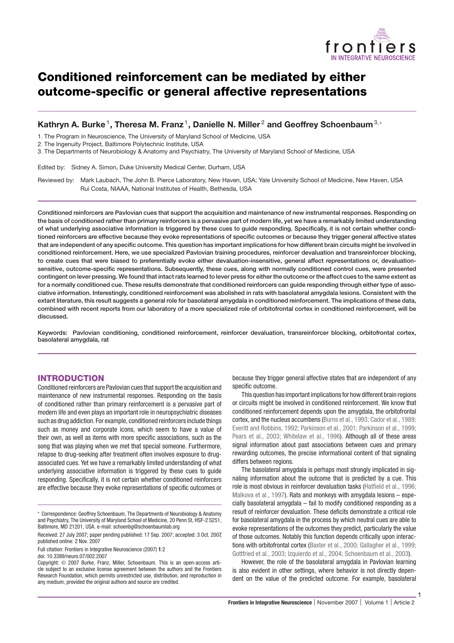

# **Conditioned reinforcement can be mediated by either outcome-specific or general affective representations**

# **Kathryn A. Burke1, Theresa M. Franz 1, Danielle N. Miller <sup>2</sup> and Geoffrey Schoenbaum<sup>3</sup>**,<sup>∗</sup>

1. The Program in Neuroscience, The University of Maryland School of Medicine, USA

2. The Ingenuity Project, Baltimore Polytechnic Institute, USA

3. The Departments of Neurobiology & Anatomy and Psychiatry, The University of Maryland School of Medicine, USA

Edited by: Sidney A. Simon, Duke University Medical Center, Durham, USA

Reviewed by: Mark Laubach, The John B. Pierce Laboratory, New Haven, USA; Yale University School of Medicine, New Haven, USA Rui Costa, NIAAA, National Institutes of Health, Bethesda, USA

**Conditioned reinforcers are Pavlovian cues that support the acquisition and maintenance of new instrumental responses. Responding on the basis of conditioned rather than primary reinforcers is a pervasive part of modern life, yet we have a remarkably limited understanding of what underlying associative information is triggered by these cues to guide responding. Specifically, it is not certain whether conditioned reinforcers are effective because they evoke representations of specific outcomes or because they trigger general affective states that are independent of any specific outcome. This question has important implications for how different brain circuits might be involved in conditioned reinforcement. Here, we use specialized Pavlovian training procedures, reinforcer devaluation and transreinforcer blocking, to create cues that were biased to preferentially evoke either devaluation-insensitive, general affect representations or, devaluationsensitive, outcome-specific representations. Subsequently, these cues, along with normally conditioned control cues, were presented contingent on lever pressing. We found that intact rats learned to lever press for either the outcome or the affect cues to the same extent as for a normally conditioned cue. These results demonstrate that conditioned reinforcers can guide responding through either type of associative information. Interestingly, conditioned reinforcement was abolished in rats with basolateral amygdala lesions. Consistent with the extant literature, this result suggests a general role for basolateral amygdala in conditioned reinforcement. The implications of these data, combined with recent reports from our laboratory of a more specialized role of orbitofrontal cortex in conditioned reinforcement, will be discussed.**

**Keywords: Pavlovian conditioning, conditioned reinforcement, reinforcer devaluation, transreinforcer blocking, orbitofrontal cortex, basolateral amygdala, rat**

# **INTRODUCTION**

Conditioned reinforcers are Pavlovian cues that support the acquisition and maintenance of new instrumental responses. Responding on the basis of conditioned rather than primary reinforcement is a pervasive part of modern life and even plays an important role in neuropsychiatric diseases such as drug addiction. For example, conditioned reinforcers include things such as money and corporate icons, which seem to have a value of their own, as well as items with more specific associations, such as the song that was playing when we met that special someone. Furthermore, relapse to drug-seeking after treatment often involves exposure to drugassociated cues. Yet we have a remarkably limited understanding of what underlying associative information is triggered by these cues to guide responding. Specifically, it is not certain whether conditioned reinforcers are effective because they evoke representations of specific outcomes or

doi: 10.3389/neuro.07/002.2007

because they trigger general affective states that are independent of any specific outcome.

This question has important implications for how different brainregions or circuits might be involved in conditioned reinforcement. We know that conditioned reinforcement depends upon the amygdala, the orbitofrontal cortex, and the nucleus accumbens (Burns et al., 1993; Cador et al., 1989; Everitt and Robbins, 1992; Parkinson et al., 2001; Parkinson et al., 1999; Pears et al., 2003; Whitelaw et al., 1996). Although all of these areas signal information about past associations between cues and primary rewarding outcomes, the precise informational content of that signaling differs between regions.

The basolateral amygdala is perhaps most strongly implicated in signaling information about the outcome that is predicted by a cue. This role is most obvious in reinforcer devaluation tasks (Hatfield et al., 1996; Malkova et al., 1997). Rats and monkeys with amygdala lesions – especially basolateral amygdala – fail to modify conditioned responding as a result of reinforcer devaluation. These deficits demonstrate a critical role for basolateral amygdala in the process by which neutral cues are able to evoke representations of the outcomes they predict, particularly the value of those outcomes. Notably this function depends critically upon interactions with orbitofrontal cortex (Baxter et al., 2000; Gallagher et al., 1999; Gottfried et al., 2003; Izquierdo et al., 2004; Schoenbaum et al., 2003).

However, the role of the basolateral amygdala in Pavlovian learning is also evident in other settings, where behavior is not directly dependent on the value of the predicted outcome. For example, basolateral

1

<sup>∗</sup> Correspondence: Geoffrey Schoenbaum, The Departments of Neurobiology & Anatomy and Psychiatry, The University of Maryland School of Medicine, 20 Penn St, HSF-2 S251, Baltimore, MD 21201, USA. e-mail: schoenbg@schoenbaumlab.org

Received: 27 July 2007; paper pending published: 17 Sep. 2007; accepted: 3 Oct. 2007; published online: 2 Nov. 2007

Full citation: Frontiers in Integrative Neuroscience (2007) **1**:2

Copyright: © 2007 Burke, Franz, Miller, Schoenbaum. This is an open-access article subject to an exclusive license agreement between the authors and the Frontiers Research Foundation, which permits unrestricted use, distribution, and reproduction in any medium, provided the original authors and source are credited.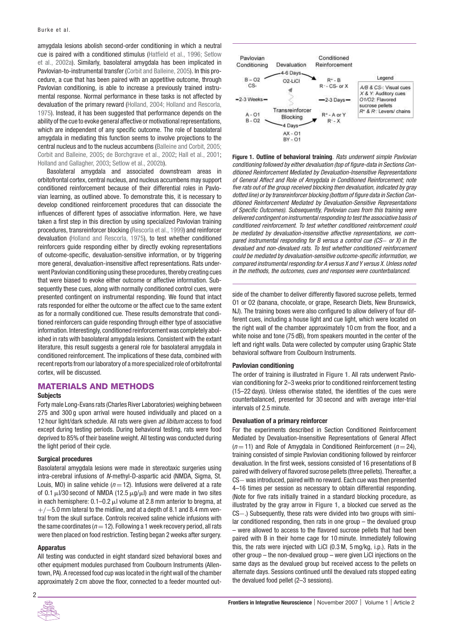amygdala lesions abolish second-order conditioning in which a neutral cue is paired with a conditioned stimulus (Hatfield et al., 1996; Setlow et al., 2002a). Similarly, basolateral amygdala has been implicated in Pavlovian-to-instrumental transfer (Corbit and Balleine, 2005). In this procedure, a cue that has been paired with an appetitive outcome, through Pavlovian conditioning, is able to increase a previously trained instrumental response. Normal performance in these tasks is not affected by devaluation of the primary reward (Holland, 2004; Holland and Rescorla, 1975). Instead, it has been suggested that performance depends on the ability of the cue to evoke general affective or motivational representations, which are independent of any specific outcome. The role of basolateral amygdala in mediating this function seems to involve projections to the central nucleus and to the nucleus accumbens (Balleine and Corbit, 2005; Corbit and Balleine, 2005; de Borchgrave et al., 2002; Hall et al., 2001; Holland and Gallagher, 2003; Setlow et al., 2002b).

Basolateral amygdala and associated downstream areas in orbitofrontal cortex, central nucleus, and nucleus accumbens may support conditioned reinforcement because of their differential roles in Pavlovian learning, as outlined above. To demonstrate this, it is necessary to develop conditioned reinforcement procedures that can dissociate the influences of different types of associative information. Here, we have taken a first step in this direction by using specialized Pavlovian training procedures, transreinforcer blocking (Rescorla et al., 1999) and reinforcer devaluation (Holland and Rescorla, 1975), to test whether conditioned reinforcers guide responding either by directly evoking representations of outcome-specific, devaluation-sensitive information, or by triggering more general, devaluation-insensitive affect representations. Rats underwent Pavlovian conditioning using these procedures, thereby creating cues that were biased to evoke either outcome or affective information. Subsequently these cues, along with normally conditioned control cues, were presented contingent on instrumental responding. We found that intact rats responded for either the outcome or the affect cue to the same extent as for a normally conditioned cue. These results demonstrate that conditioned reinforcers can guide responding through either type of associative information. Interestingly, conditioned reinforcement was completely abolished in rats with basolateral amygdala lesions. Consistent with the extant literature, this result suggests a general role for basolateral amygdala in conditioned reinforcement. The implications of these data, combined with recent reports from our laboratory of a more specialized role of orbitofrontal cortex, will be discussed.

# **MATERIALS AND METHODS**

#### **Subjects**

Forty male Long-Evans rats (Charles River Laboratories) weighing between 275 and 300 g upon arrival were housed individually and placed on a 12 hour light/dark schedule. All rats were given ad libitum access to food except during testing periods. During behavioral testing, rats were food deprived to 85% of their baseline weight. All testing was conducted during the light period of their cycle.

#### **Surgical procedures**

Basolateral amygdala lesions were made in stereotaxic surgeries using intra-cerebral infusions of N-methyl-D-aspartic acid (NMDA, Sigma, St. Louis, MO) in saline vehicle ( $n = 12$ ). Infusions were delivered at a rate of 0.1  $\mu$ I/30 second of NMDA (12.5  $\mu$ g/ $\mu$ I) and were made in two sites in each hemisphere:  $0.1-0.2 \mu$  volume at 2.8 mm anterior to bregma, at  $+/-5.0$  mm lateral to the midline, and at a depth of 8.1 and 8.4 mm ventral from the skull surface. Controls received saline vehicle infusions with the same coordinates ( $n = 12$ ). Following a 1 week recovery period, all rats were then placed on food restriction. Testing began 2 weeks after surgery.

#### **Apparatus**

All testing was conducted in eight standard sized behavioral boxes and other equipment modules purchased from Coulbourn Instruments (Allentown, PA). A recessed food cup was located in the right wall of the chamber approximately 2 cm above the floor, connected to a feeder mounted out-



**Figure 1. Outline of behavioral training**. Rats underwent simple Pavlovian conditioning followed by either devaluation (top of figure-data in Sections Conditioned Reinforcement Mediated by Devaluation-Insensitive Representations of General Affect and Role of Amygdala in Conditioned Reinforcement; note five rats out of the group received blocking then devaluation, indicated by gray dotted line) or by transreinforcer blocking (bottom of figure data in Section Conditioned Reinforcement Mediated by Devaluation-Sensitive Representations of Specific Outcomes). Subsequently, Pavlovian cues from this training were delivered contingent on instrumental responding to test the associative basis of conditioned reinforcement. To test whether conditioned reinforcement could be mediated by devaluation-insensitive affective representations, we compared instrumental responding for B versus a control cue (CS− or X) in the devalued and non-devalued rats. To test whether conditioned reinforcement could be mediated by devaluation-sensitive outcome-specific information, we compared instrumental responding for A versus X and Y versus X. Unless noted in the methods, the outcomes, cues and responses were counterbalanced.

side of the chamber to deliver differently flavored sucrose pellets, termed O1 or O2 (banana, chocolate, or grape, Research Diets, New Brunswick, NJ). The training boxes were also configured to allow delivery of four different cues, including a house light and cue light, which were located on the right wall of the chamber approximately 10 cm from the floor, and a white noise and tone (75 dB), from speakers mounted in the center of the left and right walls. Data were collected by computer using Graphic State behavioral software from Coulbourn Instruments.

#### **Pavlovian conditioning**

The order of training is illustrated in **Figure 1**. All rats underwent Pavlovian conditioning for 2–3 weeks prior to conditioned reinforcement testing (15–22 days). Unless otherwise stated, the identities of the cues were counterbalanced, presented for 30 second and with average inter-trial intervals of 2.5 minute.

#### **Devaluation of a primary reinforcer**

For the experiments described in Section Conditioned Reinforcement Mediated by Devaluation-Insensitive Representations of General Affect  $(n=11)$  and Role of Amygdala in Conditioned Reinforcement  $(n=24)$ , training consisted of simple Pavlovian conditioning followed by reinforcer devaluation. In the first week, sessions consisted of 16 presentations of B paired with delivery of flavored sucrose pellets (three pellets). Thereafter, a CS− was introduced, paired with no reward. Each cue was then presented 4–16 times per session as necessary to obtain differential responding. (Note for five rats initially trained in a standard blocking procedure, as illustrated by the gray arrow in **Figure 1**, a blocked cue served as the CS−.) Subsequently, these rats were divided into two groups with similar conditioned responding, then rats in one group – the devalued group – were allowed to access to the flavored sucrose pellets that had been paired with B in their home cage for 10 minute. Immediately following this, the rats were injected with LiCl (0.3 M, 5 mg/kg, i.p.). Rats in the other group – the non-devalued group – were given LiCl injections on the same days as the devalued group but received access to the pellets on alternate days. Sessions continued until the devalued rats stopped eating the devalued food pellet (2–3 sessions).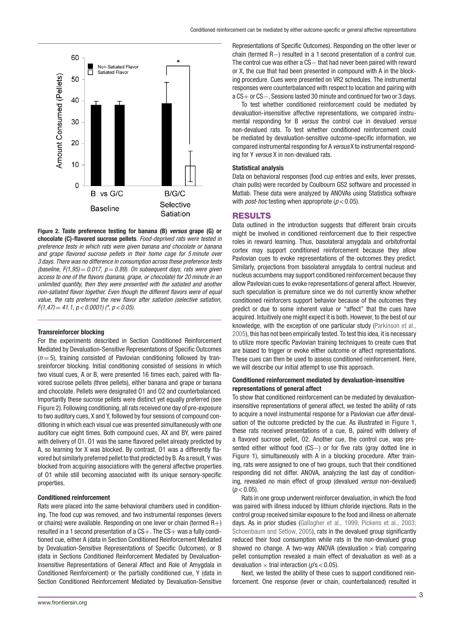

**Figure 2. Taste preference testing for banana (B)** *versus* **grape (G) or chocolate (C)-flavored sucrose pellets**. Food-deprived rats were tested in preference tests in which rats were given banana and chocolate or banana and grape flavored sucrose pellets in their home cage for 5 minute over 3 days. There was no difference in consumption across these preference tests (baseline,  $F(1,95) = 0.017$ ,  $p = 0.89$ ). On subsequent days, rats were given access to one of the flavors (banana, grape, or chocolate) for 20 minute in an unlimited quantity, then they were presented with the satiated and another non-satiated flavor together. Even though the different flavors were of equal value, the rats preferred the new flavor after satiation (selective satiation,  $F(1,47) = 41.1$ ,  $p < 0.0001$ ) (\*,  $p < 0.05$ ).

#### **Transreinforcer blocking**

For the experiments described in Section Conditioned Reinforcement Mediated by Devaluation-Sensitive Representations of Specific Outcomes  $(n=5)$ , training consisted of Pavlovian conditioning followed by transreinforcer blocking. Initial conditioning consisted of sessions in which two visual cues, A or B, were presented 16 times each, paired with flavored sucrose pellets (three pellets), either banana and grape or banana and chocolate. Pellets were designated O1 and O2 and counterbalanced. Importantly these sucrose pellets were distinct yet equally preferred (see **Figure 2**). Following conditioning, all rats received one day of pre-exposure to two auditory cues, X and Y, followed by four sessions of compound conditioning in which each visual cue was presented simultaneously with one auditory cue eight times. Both compound cues, AX and BY, were paired with delivery of O1. O1 was the same flavored pellet already predicted by A, so learning for X was blocked. By contrast, O1 was a differently flavored but similarly preferred pellet to that predicted by B. As a result, Y was blocked from acquiring associations with the general affective properties of O1 while still becoming associated with its unique sensory-specific properties.

#### **Conditioned reinforcement**

Rats were placed into the same behavioral chambers used in conditioning. The food cup was removed, and two instrumental responses (levers or chains) were available. Responding on one lever or chain (termed  $R+$ ) resulted in a 1 second presentation of a  $CS+$ . The  $CS+$  was a fully conditioned cue, either A (data in Section Conditioned Reinforcement Mediated by Devaluation-Sensitive Representations of Specific Outcomes), or B (data in Sections Conditioned Reinforcement Mediated by Devaluation-Insensitive Representations of General Affect and Role of Amygdala in Conditioned Reinforcement) or the partially conditioned cue, Y (data in Section Conditioned Reinforcement Mediated by Devaluation-Sensitive Representations of Specific Outcomes). Responding on the other lever or chain (termed R−) resulted in a 1 second presentation of a control cue. The control cue was either a CS- that had never been paired with reward or X, the cue that had been presented in compound with A in the blocking procedure. Cues were presented on VR2 schedules. The instrumental responses were counterbalanced with respect to location and pairing with a CS+ or CS−. Sessions lasted 30 minute and continued for two or 3 days.

To test whether conditioned reinforcement could be mediated by devaluation-insensitive affective representations, we compared instrumental responding for B versus the control cue in devalued versus non-devalued rats. To test whether conditioned reinforcement could be mediated by devaluation-sensitive outcome-specific information, we compared instrumental responding for A versus X to instrumental responding for Y versus X in non-devalued rats.

#### **Statistical analysis**

Data on behavioral responses (food cup entries and exits, lever presses, chain pulls) were recorded by Coulbourn GS2 software and processed in Matlab. These data were analyzed by ANOVAs using Statistica software with *post-hoc* testing when appropriate  $(p < 0.05)$ .

# **RESULTS**

Data outlined in the introduction suggests that different brain circuits might be involved in conditioned reinforcement due to their respective roles in reward learning. Thus, basolateral amygdala and orbitofrontal cortex may support conditioned reinforcement because they allow Pavlovian cues to evoke representations of the outcomes they predict. Similarly, projections from basolateral amygdala to central nucleus and nucleus accumbens may support conditioned reinforcement because they allow Pavlovian cues to evoke representations of general affect. However, such speculation is premature since we do not currently know whether conditioned reinforcers support behavior because of the outcomes they predict or due to some inherent value or "affect" that the cues have acquired. Intuitively one might expect it is both. However, to the best of our knowledge, with the exception of one particular study (Parkinson et al., 2005), this has not been empirically tested. To test this idea, it is necessary to utilize more specific Pavlovian training techniques to create cues that are biased to trigger or evoke either outcome or affect representations. These cues can then be used to assess conditioned reinforcement. Here, we will describe our initial attempt to use this approach.

#### **Conditioned reinforcement mediated by devaluation-insensitive representations of general affect**

To show that conditioned reinforcement can be mediated by devaluationinsensitive representations of general affect, we tested the ability of rats to acquire a novel instrumental response for a Pavlovian cue after devaluation of the outcome predicted by the cue. As illustrated in **Figure 1**, these rats received presentations of a cue, B, paired with delivery of a flavored sucrose pellet, O2. Another cue, the control cue, was presented either without food (CS-) or for five rats (gray dotted line in **Figure 1**), simultaneously with A in a blocking procedure. After training, rats were assigned to one of two groups, such that their conditioned responding did not differ. ANOVA, analyzing the last day of conditioning, revealed no main effect of group (devalued versus non-devalued)  $(p < 0.05)$ .

Rats in one group underwent reinforcer devaluation, in which the food was paired with illness induced by lithium chloride injections. Rats in the control group received similar exposure to the food and illness on alternate days. As in prior studies (Gallagher et al., 1999; Pickens et al., 2003; Schoenbaum and Setlow, 2005), rats in the devalued group significantly reduced their food consumption while rats in the non-devalued group showed no change. A two-way ANOVA (devaluation  $\times$  trial) comparing pellet consumption revealed a main effect of devaluation as well as a devaluation  $\times$  trial interaction ( $p$ 's < 0.05).

Next, we tested the ability of these cues to support conditioned reinforcement. One response (lever or chain, counterbalanced) resulted in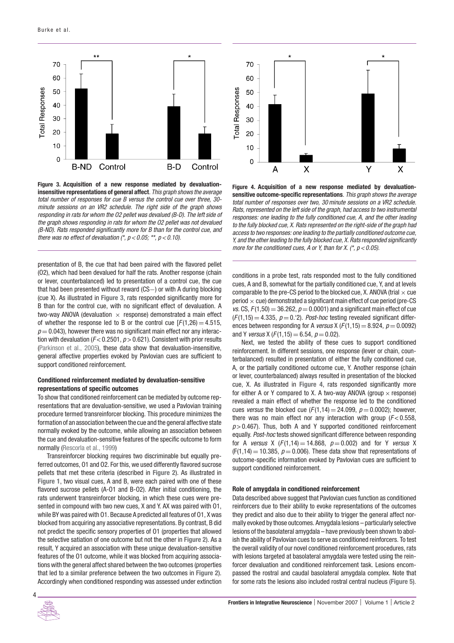

**Figure 3. Acquisition of a new response mediated by devaluationinsensitive representations of general affect**. This graph shows the average total number of responses for cue B versus the control cue over three, 30 minute sessions on an VR2 schedule. The right side of the graph shows responding in rats for whom the O2 pellet was devalued (B-D). The left side of the graph shows responding in rats for whom the O2 pellet was not devalued (B-ND). Rats responded significantly more for B than for the control cue, and there was no effect of devaluation  $({}^*, p < 0.05;$  \*\*,  $p < 0.10$ ).

presentation of B, the cue that had been paired with the flavored pellet (O2), which had been devalued for half the rats. Another response (chain or lever, counterbalanced) led to presentation of a control cue, the cue that had been presented without reward (CS−) or with A during blocking (cue X). As illustrated in **Figure 3**, rats responded significantly more for B than for the control cue, with no significant effect of devaluation. A two-way ANOVA (devaluation  $\times$  response) demonstrated a main effect of whether the response led to B or the control cue  $[F(1,26) = 4.515]$ ,  $p = 0.043$ ), however there was no significant main effect nor any interaction with devaluation ( $F$  < 0.2501,  $p$  > 0.621). Consistent with prior results (Parkinson et al., 2005), these data show that devaluation-insensitive, general affective properties evoked by Pavlovian cues are sufficient to support conditioned reinforcement.

#### **Conditioned reinforcement mediated by devaluation-sensitive representations of specific outcomes**

To show that conditioned reinforcement can be mediated by outcome representations that are devaluation-sensitive, we used a Pavlovian training procedure termed transreinforcer blocking. This procedure minimizes the formation of an association between the cue and the general affective state normally evoked by the outcome, while allowing an association between the cue and devaluation-sensitive features of the specific outcome to form normally (Rescorla et al., 1999)

Transreinforcer blocking requires two discriminable but equally preferred outcomes, O1 and O2. For this, we used differently flavored sucrose pellets that met these criteria (described in **Figure 2**). As illustrated in **Figure 1**, two visual cues, A and B, were each paired with one of these flavored sucrose pellets (A-O1 and B-O2). After initial conditioning, the rats underwent transreinforcer blocking, in which these cues were presented in compound with two new cues, X and Y. AX was paired with O1, while BY was paired with O1. Because A predicted all features of O1, X was blocked from acquiring any associative representations. By contrast, B did not predict the specific sensory properties of O1 (properties that allowed the selective satiation of one outcome but not the other in **Figure 2**). As a result, Y acquired an association with these unique devaluation-sensitive features of the O1 outcome, while it was blocked from acquiring associations with the general affect shared between the two outcomes (properties that led to a similar preference between the two outcomes in **Figure 2**). Accordingly when conditioned responding was assessed under extinction



**Figure 4. Acquisition of a new response mediated by devaluationsensitive outcome-specific representations**. This graph shows the average total number of responses over two, 30 minute sessions on a VR2 schedule. Rats, represented on the left side of the graph, had access to two instrumental responses: one leading to the fully conditioned cue, A, and the other leading to the fully blocked cue, X. Rats represented on the right-side of the graph had access to two responses: one leading to the partially conditioned outcome cue, Y, and the other leading to the fully blocked cue, X. Rats responded significantly more for the conditioned cues, A or Y, than for X.  $(*, p < 0.05)$ .

conditions in a probe test, rats responded most to the fully conditioned cues, A and B, somewhat for the partially conditioned cue, Y, and at levels comparable to the pre-CS period to the blocked cue, X. ANOVA (trial  $\times$  cue period  $\times$  cue) demonstrated a significant main effect of cue period (pre-CS vs. CS,  $F(1,50) = 36.262$ ,  $p = 0.0001$ ) and a significant main effect of cue  $(F(1,15) = 4.335, p = 0.2)$ . Post-hoc testing revealed significant differences between responding for A versus X ( $F(1,15) = 8.924$ ,  $p = 0.0092$ ) and Y *versus* X ( $F(1,15) = 6.54$ ,  $p = 0.02$ ).

Next, we tested the ability of these cues to support conditioned reinforcement. In different sessions, one response (lever or chain, counterbalanced) resulted in presentation of either the fully conditioned cue, A, or the partially conditioned outcome cue, Y. Another response (chain or lever, counterbalanced) always resulted in presentation of the blocked cue, X. As illustrated in **Figure 4**, rats responded significantly more for either A or Y compared to X. A two-way ANOVA (group  $\times$  response) revealed a main effect of whether the response led to the conditioned cues versus the blocked cue ( $F(1,14) = 24.099$ ,  $p = 0.0002$ ); however, there was no main effect nor any interaction with group  $(F< 0.558$ ,  $p > 0.467$ ). Thus, both A and Y supported conditioned reinforcement equally. Post-hoc tests showed significant difference between responding for A versus X  $(F(1, 14) = 14.868, p = 0.002)$  and for Y versus X  $(F(1,14) = 10.385, p = 0.006)$ . These data show that representations of outcome-specific information evoked by Pavlovian cues are sufficient to support conditioned reinforcement.

#### **Role of amygdala in conditioned reinforcement**

Data described above suggest that Pavlovian cues function as conditioned reinforcers due to their ability to evoke representations of the outcomes they predict and also due to their ability to trigger the general affect normally evoked by those outcomes. Amygdala lesions – particularly selective lesions of the basolateral amygdala – have previously been shown to abolish the ability of Pavlovian cues to serve as conditioned reinforcers. To test the overall validity of our novel conditioned reinforcement procedures, rats with lesions targeted at basolateral amygdala were tested using the reinforcer devaluation and conditioned reinforcement task. Lesions encompassed the rostral and caudal basolateral amygdala complex. Note that for some rats the lesions also included rostral central nucleus (**Figure 5**).

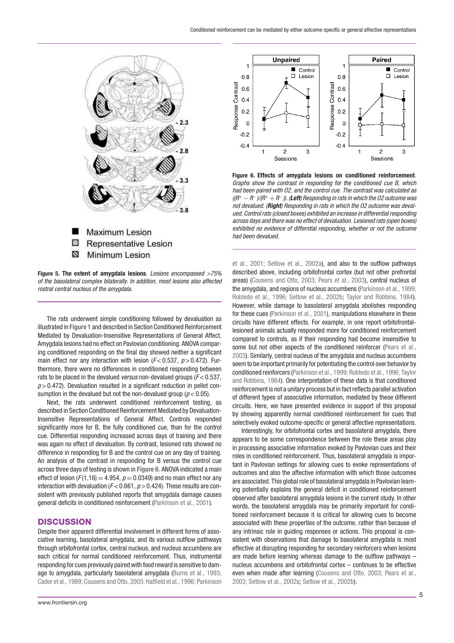

**Figure 5. The extent of amygdala lesions**. Lesions encompassed >75% of the basolateral complex bilaterally. In addition, most lesions also affected rostral central nucleus of the amygdala.

The rats underwent simple conditioning followed by devaluation as illustrated in **Figure 1** and described in Section Conditioned Reinforcement Mediated by Devaluation-Insensitive Representations of General Affect. Amygdala lesions had no effect on Pavlovian conditioning. ANOVA comparing conditioned responding on the final day showed neither a significant main effect nor any interaction with lesion ( $F < 0.537$ ,  $p > 0.472$ ). Furthermore, there were no differences in conditioned responding between rats to be placed in the devalued versus non-devalued groups ( $F < 0.537$ ,  $p > 0.472$ ). Devaluation resulted in a significant reduction in pellet consumption in the devalued but not the non-devalued group ( $p < 0.05$ ).

Next, the rats underwent conditioned reinforcement testing, as described in Section Conditioned Reinforcement Mediated by Devaluation-Insensitive Representations of General Affect. Controls responded significantly more for B, the fully conditioned cue, than for the control cue. Differential responding increased across days of training and there was again no effect of devaluation. By contrast, lesioned rats showed no difference in responding for B and the control cue on any day of training. An analysis of the contrast in responding for B versus the control cue across three days of testing is shown in **Figure 6**. ANOVA indicated a main effect of lesion ( $F(1,16) = 4.954$ ,  $p = 0.0349$ ) and no main effect nor any interaction with devaluation ( $F$  < 0.661,  $p$  > 0.424). These results are consistent with previously published reports that amygdala damage causes general deficits in conditioned reinforcement (Parkinson et al., 2001).

### **DISCUSSION**

Despite their apparent differential involvement in different forms of associative learning, basolateral amygdala, and its various outflow pathways through orbitofrontal cortex, central nucleus, and nucleus accumbens are each critical for normal conditioned reinforcement. Thus, instrumental responding for cues previously paired with food reward is sensitive to damage to amygdala, particularly basolateral amygdala (Burns et al., 1993; Cador et al., 1989; Cousens and Otto, 2003; Hatfield et al., 1996; Parkinson



**Figure 6. Effects of amygdala lesions on conditioned reinforcement**. Graphs show the contrast in responding for the conditioned cue B, which had been paired with O2, and the control cue. The contrast was calculated as ((R*<sup>+</sup>* <sup>−</sup> <sup>R</sup>−)/(R*<sup>+</sup>* <sup>+</sup> <sup>R</sup>−)). (*Left*) Responding in rats in which the O2 outcome was not devalued. (*Right*) Responding in rats in which the O2 outcome was devalued. Control rats (closed boxes) exhibited an increase in differential responding across days and there was no effect of devaluation. Lesioned rats (open boxes) exhibited no evidence of differntial responding, whether or not the outcome had been devalued.

et al., 2001; Setlow et al., 2002a), and also to the outflow pathways described above, including orbitofrontal cortex (but not other prefrontal areas) (Cousens and Otto, 2003; Pears et al., 2003), central nucleus of the amygdala, and regions of nucleus accumbens (Parkinson et al., 1999; Robledo et al., 1996; Setlow et al., 2002b; Taylor and Robbins, 1984). However, while damage to basolateral amygdala abolishes responding for these cues (Parkinson et al., 2001), manipulations elsewhere in these circuits have different effects. For example, in one report orbitofrontallesioned animals actually responded more for conditioned reinforcement compared to controls, as if their responding had become insensitive to some but not other aspects of the conditioned reinforcer (Pears et al., 2003). Similarly, central nucleus of the amygdala and nucleus accumbens seem to be important primarily for potentiating the control over behavior by conditioned reinforcers (Parkinson et al., 1999; Robledo et al., 1996; Taylor and Robbins, 1984). One interpretation of these data is that conditioned reinforcement is not a unitary process but in fact reflects parallel activation of different types of associative information, mediated by these different circuits. Here, we have presented evidence in support of this proposal by showing apparently normal conditioned reinforcement for cues that selectively evoked outcome-specific or general affective representations.

Interestingly, for orbitofrontal cortex and basolateral amygdala, there appears to be some correspondence between the role these areas play in processing associative information evoked by Pavlovian cues and their roles in conditioned reinforcement. Thus, basolateral amygdala is important in Pavlovian settings for allowing cues to evoke representations of outcomes and also the affective information with which those outcomes are associated. This global role of basolateral amygdala in Pavlovian learning potentially explains the general deficit in conditioned reinforcement observed after basolateral amygdala lesions in the current study. In other words, the basolateral amygdala may be primarily important for conditioned reinforcement because it is critical for allowing cues to become associated with these properties of the outcome, rather than because of any intrinsic role in guiding responses or actions. This proposal is consistent with observations that damage to basolateral amygdala is most effective at disrupting responding for secondary reinforcers when lesions are made before learning whereas damage to the outflow pathways – nucleus accumbens and orbitofrontal cortex – continues to be effective even when made after learning (Cousens and Otto, 2003; Pears et al., 2003; Setlow et al., 2002a; Setlow et al., 2002b).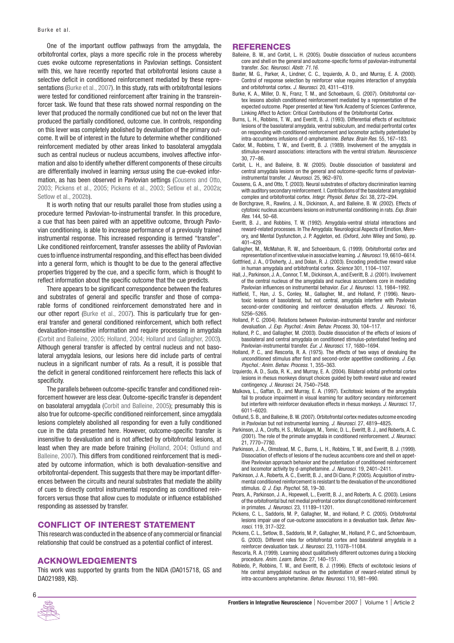One of the important outflow pathways from the amygdala, the orbitofrontal cortex, plays a more specific role in the process whereby cues evoke outcome representations in Pavlovian settings. Consistent with this, we have recently reported that orbitofrontal lesions cause a selective deficit in conditioned reinforcement mediated by these representations (Burke et al., 2007). In this study, rats with orbitofrontal lesions were tested for conditioned reinforcement after training in the transreinforcer task. We found that these rats showed normal responding on the lever that produced the normally conditioned cue but not on the lever that produced the partially conditioned, outcome cue. In controls, responding on this lever was completely abolished by devaluation of the primary outcome. It will be of interest in the future to determine whether conditioned reinforcement mediated by other areas linked to basolateral amygdala such as central nucleus or nucleus accumbens, involves affective information and also to identify whether different components of these circuits are differentially involved in learning versus using the cue-evoked information, as has been observed in Pavlovian settings (Cousens and Otto, 2003; Pickens et al., 2005; Pickens et al., 2003; Setlow et al., 2002a; Setlow et al., 2002b).

It is worth noting that our results parallel those from studies using a procedure termed Pavlovian-to-instrumental transfer. In this procedure, a cue that has been paired with an appetitive outcome, through Pavlovian conditioning, is able to increase performance of a previously trained instrumental response. This increased responding is termed "transfer". Like conditioned reinforcement, transfer assesses the ability of Pavlovian cues to influence instrumental responding, and this effect has been divided into a general form, which is thought to be due to the general affective properties triggered by the cue, and a specific form, which is thought to reflect information about the specific outcome that the cue predicts.

There appears to be significant correspondence between the features and substrates of general and specific transfer and those of comparable forms of conditioned reinforcement demonstrated here and in our other report (Burke et al., 2007). This is particularly true for general transfer and general conditioned reinforcement, which both reflect devaluation-insensitive information and require processing in amygdala (Corbit and Balleine, 2005; Holland, 2004; Holland and Gallagher, 2003). Although general transfer is affected by central nucleus and not basolateral amygdala lesions, our lesions here did include parts of central nucleus in a significant number of rats. As a result, it is possible that the deficit in general conditioned reinforcement here reflects this lack of specificity.

The parallels between outcome-specific transfer and conditioned reinforcement however are less clear. Outcome-specific transfer is dependent on basolateral amygdala (Corbit and Balleine, 2005); presumably this is also true for outcome-specific conditioned reinforcement, since amygdala lesions completely abolished all responding for even a fully conditioned cue in the data presented here. However, outcome-specific transfer is insensitive to devaluation and is not affected by orbitofrontal lesions, at least when they are made before training (Holland, 2004; Ostlund and Balleine, 2007). This differs from conditioned reinforcement that is mediated by outcome information, which is both devaluation-sensitive and orbitofrontal-dependent. This suggests that there may be important differences between the circuits and neural substrates that mediate the ability of cues to directly control instrumental responding as conditioned reinforcers versus those that allow cues to modulate or influence established responding as assessed by transfer.

# **CONFLICT OF INTEREST STATEMENT**

This research was conducted in the absence of any commercial or financial relationship that could be construed as a potential conflict of interest.

#### **ACKNOWLEDGEMENTS**

This work was supported by grants from the NIDA (DA015718, GS and DA021989, KB).

#### **REFERENCES**

- Balleine, B. W., and Corbit, L. H. (2005). Double dissociation of nucleus accumbens core and shell on the general and outcome-specific forms of pavlovian-instrumental transfer. Soc. Neurosci. Abstr. 71.16.
- Baxter, M. G., Parker, A., Lindner, C. C., Izquierdo, A. D., and Murray, E. A. (2000). Control of response selection by reinforcer value requires interaction of amygdala and orbitofrontal cortex. J. Neurosci. 20, 4311–4319.
- Burke, K. A., Miller, D. N., Franz, T. M., and Schoebaum, G. (2007). Orbitofrontal cortex lesions abolish conditioned reinforcement mediated by a representation of the expected outcome. Paper presented at New York Academy of Sciences Conference, Linking Affect to Action: Critical Contributions of the Orbitofrontal Cortex.
- Burns, L. H., Robbins, T. W., and Everitt, B. J. (1993). Differential effects of excitotoxic lesions of the basolateral amygdala, ventral subiculum, and medial perfrontal cortex on responding with conditioned reinforcement and locomotor activity potentiated by intra-accumbens infusions of d-amphetamine. Behav. Brain Res. 55, 167–183.
- Cador, M., Robbins, T. W., and Everitt, B. J. (1989). Involvement of the amygdala in stimulus-reward associations: interactions with the ventral striatum. Neuroscience 30, 77–86.
- Corbit, L. H., and Balleine, B. W. (2005). Double dissociation of basolateral and central amygdala lesions on the general and outcome-specific forms of pavlovianinstrumental transfer. J. Neurosci. 25, 962–970.
- Cousens, G. A., and Otto, T. (2003). Neural substrates of olfactory discrimination learning with auditory secondary reinforcement. I. Contributions of the basolateral amygdaloid complex and orbitofrontal cortex. Integr. Physiol. Behav. Sci. 38, 272–294.
- de Borchgrave, R., Rawlins, J. N., Dickinson, A., and Balleine, B. W. (2002). Effects of cytotoxic nucleus accumbens lesions on instrumental conditioning in rats. Exp. Brain Res. 144, 50–68.
- Everitt, B. J., and Robbins, T. W. (1992). Amygdala-ventral striatal interactions and reward-related processes. In The Amygdala: Neurological Aspects of Emotion, Memory, and Mental Dysfunction, J. P. Aggleton, ed. (Oxford, John Wiley and Sons), pp. 401–429.
- Gallagher, M., McMahan, R. W., and Schoenbaum, G. (1999). Orbitofrontal cortex and representation of incentive value in associative learning. J. Neurosci. 19, 6610–6614.
- Gottfried, J. A., O'Doherty, J., and Dolan, R. J. (2003). Encoding predictive reward value in human amygdala and orbitofrontal cortex. Science 301, 1104–1107.
- Hall, J., Parkinson, J. A., Connor, T. M., Dickinson, A., and Everitt, B. J. (2001). Involvement of the central nucleus of the amygdala and nucleus accumbens core in mediating Pavlovian influences on instrumental behavior. Eur. J. Neurosci. 13, 1984–1992.
- Hatfield, T., Han, J. S., Conley, M., Gallagher, M., and Holland, P. (1996). Neurotoxic lesions of basolateral, but not central, amygdala interfere with Pavlovian second-order conditioning and reinforcer devaluation effects. J. Neurosci. 16, 5256–5265.
- Holland, P. C. (2004). Relations between Pavlovian-instrumental transfer and reinforcer devaluation. J. Exp. Psychol.: Anim. Behav. Process. 30, 104–117.
- Holland, P.C., and Gallagher, M. (2003). Double dissociation of the effects of lesions of basolateral and central amygdala on conditioned stimulus-potentiated feeding and Pavlovian-instrumental transfer. Eur. J. Neurosci. 17, 1680–1694.
- Holland, P. C., and Rescorla, R. A. (1975). The effects of two ways of devaluing the unconditioned stimulus after first and second-order appetitive conditioning. J. Exp. Psychol.: Anim. Behav. Process. 1, 355–363.
- Izquierdo, A. D., Suda, R. K., and Murray, E. A. (2004). Bilateral orbital prefrontal cortex lesions in rhesus monkeys disrupt choices guided by both reward value and reward contingency. J. Neurosci. 24, 7540–7548.
- Malkova, L., Gaffan, D., and Murray, E. A. (1997). Excitotoxic lesions of the amygdala fail to produce impairment in visual learning for auditory secondary reinforcement but interfere with reinforcer devaluation effects in rhesus monkeys. J. Neurosci. 17, 6011–6020.
- Ostlund, S. B., and Balleine, B. W. (2007). Orbitofrontal cortex mediates outcome encoding in Pavlovian but not instrumental learning. J. Neurosci. 27, 4819-4825.
- Parkinson, J. A., Crofts, H. S., McGuigan, M., Tomic, D. L., Everitt, B. J., and Roberts, A. C. (2001). The role of the primate amygdala in conditioned reinforcement. J. Neurosci. 21, 7770–7780.
- Parkinson, J. A., Olmstead, M. C., Burns, L. H., Robbins, T. W., and Everitt, B. J. (1999). Dissociation of effects of lesions of the nucleus accumbens core and shell on appetitive Pavlovian approach behavior and the potentiation of conditioned reinforcement and locomotor activity by d-amphetamine. J. Neurosci. 19, 2401-2411
- Parkinson, J. A., Roberts, A. C., Everitt, B. J., and Di Ciano, P. (2005). Acquisition of instrumental conditioned reinforcement is resistant to the devaluation of the unconditioned stimulus. Q. J. Exp. Psychol. 58, 19–30.
- Pears, A., Parkinson, J. A., Hopewell, L., Everitt, B. J., and Roberts, A. C. (2003). Lesions of the orbitofrontal but not medial prefrontal cortex disrupt conditioned reinforcement in primates. J. Neurosci. 23, 11189–11201.
- Pickens, C. L., Saddoris, M. P., Gallagher, M., and Holland, P. C. (2005). Orbitofrontal lesions impair use of cue-outcome associations in a devaluation task. Behav. Neurosci. 119, 317–322.
- Pickens, C. L., Setlow, B., Saddoris, M. P., Gallagher, M., Holland, P. C., and Schoenbaum, G. (2003). Different roles for orbitofrontal cortex and basolateral amygdala in a reinforcer devaluation task. J. Neurosci. 23, 11078–11084.
- Rescorla, R. A. (1999). Learning about qualitatively different outcomes during a blocking procedure. Anim. Learn. Behav. 27, 140–151.
- Robledo, P., Robbins, T. W., and Everitt, B. J. (1996). Effects of excitotoxic lesions of hte central amygdaloid nucleus on the potentiation of reward-related stimuli by intra-accumbens amphetamine. Behav. Neurosci. 110, 981–990.